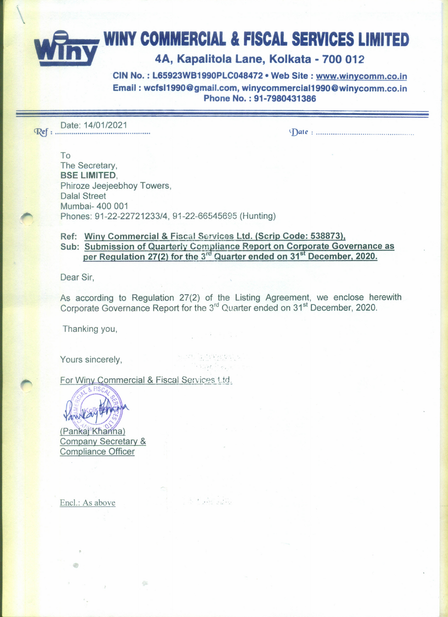## **WINY COMMERCIAL & FISCAL SERVICES LIMITED**

## 4A, Kapalitola Lane, Kolkata - 700 012

CIN No.: L65923WB1990PLC048472 . Web Site: www.winycomm.co.in Email: wcfsI1990@gmail.com.winycommerciaI1990@winycomm.co.in Phone No. : 91-7980431386

Date: 14/01/2021 ~: . *~Dat(': .*

To The Secretary, 8SE LIMITED, Phiroze Jeejeebhoy Towers, Dalal Street Mumbai- 400 001 Phones: 91-22-22721233/4, 91-22-66545695 (Hunting)

## Ref: Winy Commercial & Fiscal Services Ltd. (Scrip Code: 538873), Sub: Submission of Quarterly Compliance Report on Corporate Governance as per Regulation 27(2) for the 3<sup>rd</sup> Quarter ended on 31<sup>st</sup> December, 2020.

Dear Sir,

As according to Regulation 27(2) of the Listing Agreement, we enclose herewith Corporate Governance Report for the 3<sup>rd</sup> Quarter ended on 31<sup>st</sup> December, 2020.

Thanking you,

Yours sincerely,

 $\label{eq:2.1} \mathcal{G}_{\mathcal{G}} = \mathcal{G}_{\mathcal{G}} \mathcal{G}_{\mathcal{G}} \mathcal{G}_{\mathcal{G}} = \mathcal{G}_{\mathcal{G}} \mathcal{G}_{\mathcal{G}} \mathcal{G}_{\mathcal{G}} \mathcal{G}_{\mathcal{G}} \mathcal{G}_{\mathcal{G}} \mathcal{G}_{\mathcal{G}} \mathcal{G}_{\mathcal{G}} \mathcal{G}_{\mathcal{G}} \mathcal{G}_{\mathcal{G}} \mathcal{G}_{\mathcal{G}} \mathcal{G}_{\mathcal{G}} \mathcal{G}_{\mathcal{G}} \mathcal{G}_{\mathcal{G}} \mathcal{G$ ੇ ਬਣੇਗੀ ਨਹੀਂਗ

A. Katharin

For Winy Commercial & Fiscal Services Ltd.



(Pankai Khanna) Company Secretary & **Compliance Officer** 

Encl.: As above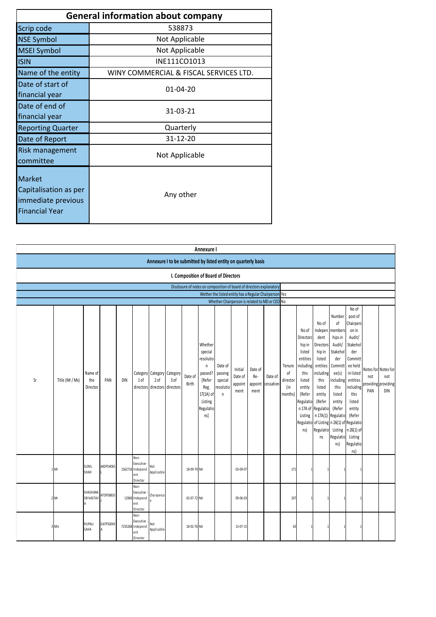| <b>General information about company</b>                                              |                                        |  |  |  |  |  |  |  |  |  |
|---------------------------------------------------------------------------------------|----------------------------------------|--|--|--|--|--|--|--|--|--|
| Scrip code                                                                            | 538873                                 |  |  |  |  |  |  |  |  |  |
| <b>NSE Symbol</b>                                                                     | Not Applicable                         |  |  |  |  |  |  |  |  |  |
| <b>MSEI Symbol</b>                                                                    | Not Applicable                         |  |  |  |  |  |  |  |  |  |
| <b>ISIN</b>                                                                           | INE111CO1013                           |  |  |  |  |  |  |  |  |  |
| Name of the entity                                                                    | WINY COMMERCIAL & FISCAL SERVICES LTD. |  |  |  |  |  |  |  |  |  |
| Date of start of<br>financial year                                                    | $01 - 04 - 20$                         |  |  |  |  |  |  |  |  |  |
| Date of end of<br>financial year                                                      | 31-03-21                               |  |  |  |  |  |  |  |  |  |
| <b>Reporting Quarter</b>                                                              | Quarterly                              |  |  |  |  |  |  |  |  |  |
| Date of Report                                                                        | $31 - 12 - 20$                         |  |  |  |  |  |  |  |  |  |
| <b>Risk management</b><br>committee                                                   | Not Applicable                         |  |  |  |  |  |  |  |  |  |
| <b>Market</b><br>Capitalisation as per<br>immediate previous<br><b>Financial Year</b> | Any other                              |  |  |  |  |  |  |  |  |  |

|    |                                                                |                             |           |     |                                                          |                                                   |                   |                  | Annexure I                                                                                                                 |                                                                      |                                       |                                   |                      |                                            |                                                                                                                                      |                                                                                                                                                                               |                                                                                                                                                                                                                                 |                                                                                                                                                                                                    |            |                                                          |
|----|----------------------------------------------------------------|-----------------------------|-----------|-----|----------------------------------------------------------|---------------------------------------------------|-------------------|------------------|----------------------------------------------------------------------------------------------------------------------------|----------------------------------------------------------------------|---------------------------------------|-----------------------------------|----------------------|--------------------------------------------|--------------------------------------------------------------------------------------------------------------------------------------|-------------------------------------------------------------------------------------------------------------------------------------------------------------------------------|---------------------------------------------------------------------------------------------------------------------------------------------------------------------------------------------------------------------------------|----------------------------------------------------------------------------------------------------------------------------------------------------------------------------------------------------|------------|----------------------------------------------------------|
|    | Annexure I to be submitted by listed entity on quarterly basis |                             |           |     |                                                          |                                                   |                   |                  |                                                                                                                            |                                                                      |                                       |                                   |                      |                                            |                                                                                                                                      |                                                                                                                                                                               |                                                                                                                                                                                                                                 |                                                                                                                                                                                                    |            |                                                          |
|    |                                                                |                             |           |     |                                                          |                                                   |                   |                  |                                                                                                                            | I. Composition of Board of Directors                                 |                                       |                                   |                      |                                            |                                                                                                                                      |                                                                                                                                                                               |                                                                                                                                                                                                                                 |                                                                                                                                                                                                    |            |                                                          |
|    |                                                                |                             |           |     |                                                          |                                                   |                   |                  |                                                                                                                            | Disclosure of notes on composition of board of directors explanatory |                                       |                                   |                      |                                            |                                                                                                                                      |                                                                                                                                                                               |                                                                                                                                                                                                                                 |                                                                                                                                                                                                    |            |                                                          |
|    |                                                                |                             |           |     |                                                          |                                                   |                   |                  |                                                                                                                            | Wether the listed entity has a Regular Chairperson Yes               |                                       |                                   |                      |                                            |                                                                                                                                      |                                                                                                                                                                               |                                                                                                                                                                                                                                 |                                                                                                                                                                                                    |            |                                                          |
|    |                                                                |                             |           |     |                                                          |                                                   |                   |                  |                                                                                                                            | Whether Chairperson is related to MD or CEO No                       |                                       |                                   |                      |                                            |                                                                                                                                      |                                                                                                                                                                               |                                                                                                                                                                                                                                 | No of                                                                                                                                                                                              |            |                                                          |
| Sr | Title (Mr / Ms)                                                | Name of<br>the<br>Director  | PAN       | DIN | 1 of<br>directors                                        | Category Category Category<br>$2$ of<br>directors | 3 of<br>directors | Date of<br>Birth | Whether<br>special<br>resolutio<br>$\mathsf n$<br>passed?<br>[Refer<br>Reg.<br>17(1A) of<br>Listing<br>Regulatio<br>$ns$ ] | Date of<br>passing<br>special<br>resolutio<br>$\mathsf n$            | Initial<br>Date of<br>appoint<br>ment | Date of<br>Re-<br>appoint<br>ment | Date of<br>cessation | Tenure<br>οf<br>director<br>(in<br>months) | No of<br>Directors<br>hip in<br>listed<br>entities<br>including<br>this<br>listed<br>entity<br>(Refer<br>Regulatio<br>Listing<br>ns) | No of<br>Indepen<br>dent<br>Directors<br>hip in<br>listed<br>entities<br>including<br>this<br>listed<br>entity<br>(Refer<br>n 17A of Regulatio<br>n 17A(1)<br>Regulatio<br>ns | Number<br>of<br>members<br>hips in<br>Audit/<br>Stakehol<br>der<br>Committ<br>ee(s)<br>including<br>this<br>listed<br>entity<br>(Refer<br>Regulatio<br>Regulatio of Listing n 26(1) of Regulatio<br>Listing<br>Regulatio<br>ns) | post of<br>Chairpers<br>on in<br>Audit/<br>Stakehol<br>der<br>Committ<br>ee held<br>in listed<br>entities<br>including<br>this<br>listed<br>entity<br>(Refer<br>n 26(1) of<br>Listing<br>Regulatio | not<br>PAN | Notes for Notes for<br>not<br>providing providing<br>DIN |
|    | 1 Mr                                                           | SUNIL<br>SHAH               | AKDPS4065 |     | Non-<br>Executive<br>1562716 Independ<br>ent<br>Director | Not<br>Applicable                                 |                   | 18-09-70 NA      |                                                                                                                            |                                                                      | 03-09-07                              |                                   |                      | 271                                        |                                                                                                                                      |                                                                                                                                                                               |                                                                                                                                                                                                                                 | ns)                                                                                                                                                                                                |            |                                                          |
|    | 2 Mr                                                           | SHASHANK<br><b>SRIVASTA</b> | ATOPS8835 |     | Non-<br>Executive<br>12960 Independ<br>ent<br>Director   | Chairperso                                        |                   | 02-07-72 NA      |                                                                                                                            |                                                                      | 09-06-03                              |                                   |                      | 207                                        |                                                                                                                                      |                                                                                                                                                                               |                                                                                                                                                                                                                                 |                                                                                                                                                                                                    |            |                                                          |
|    | 3 Mrs                                                          | RUPALI<br>SAHA              | GATPS0043 |     | Non-<br>Executive<br>7235268 Independ<br>ent<br>Director | Not<br>Applicable                                 |                   | 18-02-76 NA      |                                                                                                                            |                                                                      | 13-07-15                              |                                   |                      | 63                                         |                                                                                                                                      |                                                                                                                                                                               |                                                                                                                                                                                                                                 |                                                                                                                                                                                                    |            |                                                          |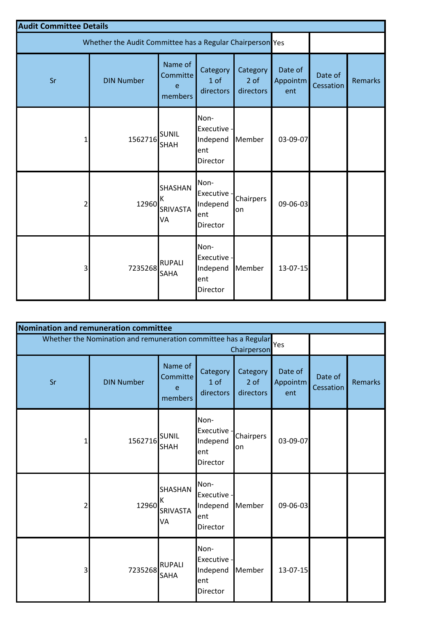| <b>Audit Committee Details</b> |                                                           |                                     |                                                           |                                 |                            |                      |         |
|--------------------------------|-----------------------------------------------------------|-------------------------------------|-----------------------------------------------------------|---------------------------------|----------------------------|----------------------|---------|
|                                | Whether the Audit Committee has a Regular Chairperson Yes |                                     |                                                           |                                 |                            |                      |         |
| Sr                             | <b>DIN Number</b>                                         | Name of<br>Committe<br>e<br>members | Category<br>1 of<br>directors                             | Category<br>$2$ of<br>directors | Date of<br>Appointm<br>ent | Date of<br>Cessation | Remarks |
| 1                              | 1562716                                                   | <b>SUNIL</b><br><b>SHAH</b>         | Non-<br>Executive -<br>Independ<br>ent<br><b>Director</b> | Member                          | 03-09-07                   |                      |         |
| 2                              | 12960                                                     | SHASHAN<br>Κ<br>SRIVASTA<br>VA      | Non-<br>Executive -<br>Independ<br>ent<br>Director        | Chairpers<br>on                 | 09-06-03                   |                      |         |
| 3                              | 7235268                                                   | <b>RUPALI</b><br>SAHA               | Non-<br>Executive -<br>Independ<br>ent<br>Director        | Member                          | $13 - 07 - 15$             |                      |         |

| Nomination and remuneration committee |                                                                 |                                     |                                                    |                               |                            |                      |                |
|---------------------------------------|-----------------------------------------------------------------|-------------------------------------|----------------------------------------------------|-------------------------------|----------------------------|----------------------|----------------|
|                                       | Whether the Nomination and remuneration committee has a Regular |                                     |                                                    | Chairperson                   | Yes                        |                      |                |
| Sr                                    | <b>DIN Number</b>                                               | Name of<br>Committe<br>e<br>members | Category<br>1 of<br>directors                      | Category<br>2 of<br>directors | Date of<br>Appointm<br>ent | Date of<br>Cessation | <b>Remarks</b> |
| $\mathbf{1}$                          | 1562716                                                         | <b>SUNIL</b><br><b>SHAH</b>         | Non-<br>Executive -<br>Independ<br>ent<br>Director | Chairpers<br>on               | 03-09-07                   |                      |                |
| $\mathsf{2}$                          | 12960                                                           | SHASHAN<br>К<br>SRIVASTA<br>VA      | Non-<br>Executive -<br>Independ<br>ent<br>Director | Member                        | 09-06-03                   |                      |                |
| $\overline{\mathbf{3}}$               | 7235268                                                         | <b>RUPALI</b><br><b>SAHA</b>        | Non-<br>Executive -<br>Independ<br>ent<br>Director | Member                        | 13-07-15                   |                      |                |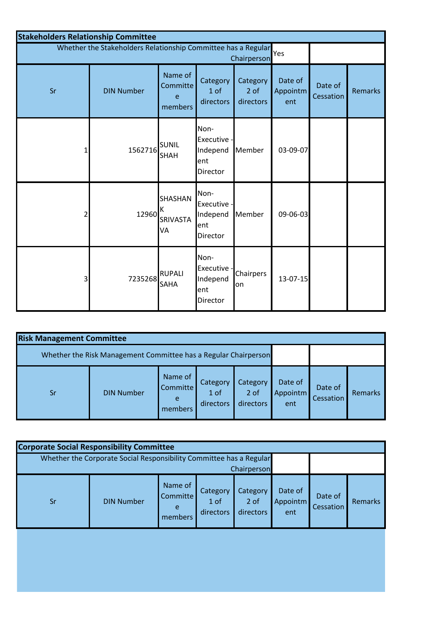| <b>Stakeholders Relationship Committee</b> |                                                               |                                       |                                                    |                               |                            |                      |                |
|--------------------------------------------|---------------------------------------------------------------|---------------------------------------|----------------------------------------------------|-------------------------------|----------------------------|----------------------|----------------|
|                                            | Whether the Stakeholders Relationship Committee has a Regular |                                       |                                                    | Chairperson                   | Yes                        |                      |                |
| Sr                                         | <b>DIN Number</b>                                             | Name of<br>Committe<br>e<br>members   | Category<br>1 of<br>directors                      | Category<br>2 of<br>directors | Date of<br>Appointm<br>ent | Date of<br>Cessation | <b>Remarks</b> |
| 1                                          | 1562716                                                       | <b>SUNIL</b><br><b>SHAH</b>           | Non-<br>Executive -<br>Independ<br>ent<br>Director | Member                        | 03-09-07                   |                      |                |
| 2                                          | 12960                                                         | SHASHAN<br>Κ<br><b>SRIVASTA</b><br>VA | Non-<br>Executive -<br>Independ<br>ent<br>Director | Member                        | 09-06-03                   |                      |                |
| 3                                          | 7235268                                                       | <b>RUPALI</b><br><b>SAHA</b>          | Non-<br>Executive -<br>Independ<br>ent<br>Director | Chairpers<br>on               | $13 - 07 - 15$             |                      |                |

| <b>Risk Management Committee</b> |                                                                 |                                            |                                          |                               |                            |                      |                |
|----------------------------------|-----------------------------------------------------------------|--------------------------------------------|------------------------------------------|-------------------------------|----------------------------|----------------------|----------------|
|                                  | Whether the Risk Management Committee has a Regular Chairperson |                                            |                                          |                               |                            |                      |                |
| Sr                               | <b>DIN Number</b>                                               | Name of<br><b>Committe</b><br>e<br>members | Category<br>1 <sub>of</sub><br>directors | Category<br>2 of<br>directors | Date of<br>Appointm<br>ent | Date of<br>Cessation | <b>Remarks</b> |

| <b>Corporate Social Responsibility Committee</b> |                                                                     |                                            |                               |                               |                            |                      |         |  |  |
|--------------------------------------------------|---------------------------------------------------------------------|--------------------------------------------|-------------------------------|-------------------------------|----------------------------|----------------------|---------|--|--|
|                                                  | Whether the Corporate Social Responsibility Committee has a Regular |                                            |                               | Chairperson                   |                            |                      |         |  |  |
| <b>Sr</b>                                        | <b>DIN Number</b>                                                   | Name of<br><b>Committe</b><br>e<br>members | Category<br>1 of<br>directors | Category<br>2 of<br>directors | Date of<br>Appointm<br>ent | Date of<br>Cessation | Remarks |  |  |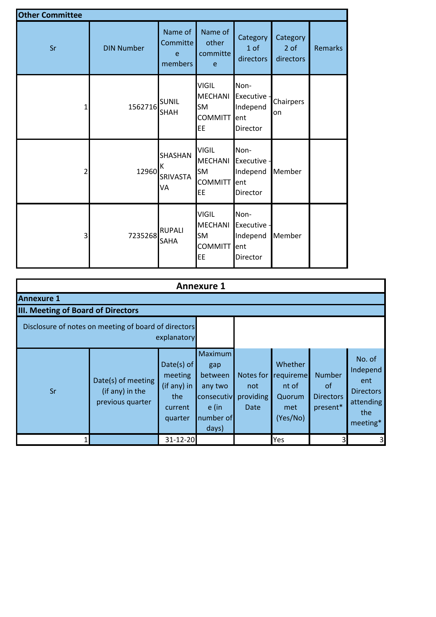| <b>Other Committee</b> |                   |                                     |                                                                     |                                                    |                                 |                |
|------------------------|-------------------|-------------------------------------|---------------------------------------------------------------------|----------------------------------------------------|---------------------------------|----------------|
| Sr                     | <b>DIN Number</b> | Name of<br>Committe<br>e<br>members | Name of<br>other<br>committe<br>e                                   | Category<br>1 of<br>directors                      | Category<br>$2$ of<br>directors | <b>Remarks</b> |
|                        | 1562716           | <b>SUNIL</b><br><b>SHAH</b>         | <b>VIGIL</b><br><b>MECHANI</b><br><b>SM</b><br>COMMITT<br>EE        | Non-<br>Executive -<br>Independ<br>ent<br>Director | Chairpers<br>on                 |                |
|                        | 12960             | SHASHAN<br>к<br>SRIVASTA<br>VA      | <b>VIGIL</b><br><b>MECHANI</b><br><b>SM</b><br><b>COMMITT</b><br>EE | Non-<br>Executive -<br>Independ<br>ent<br>Director | Member                          |                |
| 3                      | 7235268           | <b>RUPALI</b><br>SAHA               | <b>VIGIL</b><br><b>MECHANI</b><br><b>SM</b><br><b>COMMITT</b><br>EE | Non-<br>Executive -<br>Independ<br>ent<br>Director | Member                          |                |

|                                    | <b>Annexure 1</b>                                         |                                                                   |                                                                                   |                                       |                                                            |                                                            |                                                                               |  |  |  |  |  |
|------------------------------------|-----------------------------------------------------------|-------------------------------------------------------------------|-----------------------------------------------------------------------------------|---------------------------------------|------------------------------------------------------------|------------------------------------------------------------|-------------------------------------------------------------------------------|--|--|--|--|--|
| <b>Annexure 1</b>                  |                                                           |                                                                   |                                                                                   |                                       |                                                            |                                                            |                                                                               |  |  |  |  |  |
| III. Meeting of Board of Directors |                                                           |                                                                   |                                                                                   |                                       |                                                            |                                                            |                                                                               |  |  |  |  |  |
|                                    | Disclosure of notes on meeting of board of directors      | explanatory                                                       |                                                                                   |                                       |                                                            |                                                            |                                                                               |  |  |  |  |  |
| Sr                                 | Date(s) of meeting<br>(if any) in the<br>previous quarter | Date(s) of<br>meeting<br>(if any) in<br>the<br>current<br>quarter | Maximum<br>gap<br>between<br>any two<br>consecutiv<br>e (in<br>number of<br>days) | Notes for<br>not<br>providing<br>Date | Whether<br>requireme<br>nt of<br>Quorum<br>met<br>(Yes/No) | <b>Number</b><br><b>of</b><br><b>Directors</b><br>present* | No. of<br>Independ<br>ent<br><b>Directors</b><br>attending<br>the<br>meeting* |  |  |  |  |  |
|                                    |                                                           | 31-12-20                                                          |                                                                                   |                                       | Yes                                                        | 3                                                          | $\overline{\mathbf{3}}$                                                       |  |  |  |  |  |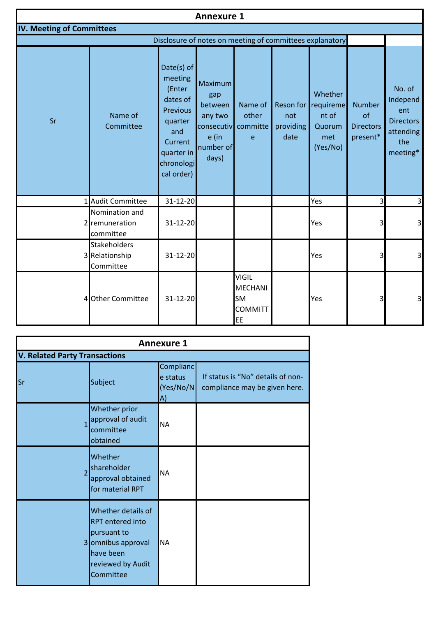|                                  |                                                    |                                                                                                                                | <b>Annexure 1</b>                                                   |                                                                     |                          |                                                                      |                                                     |                                                                               |
|----------------------------------|----------------------------------------------------|--------------------------------------------------------------------------------------------------------------------------------|---------------------------------------------------------------------|---------------------------------------------------------------------|--------------------------|----------------------------------------------------------------------|-----------------------------------------------------|-------------------------------------------------------------------------------|
| <b>IV. Meeting of Committees</b> |                                                    |                                                                                                                                |                                                                     |                                                                     |                          |                                                                      |                                                     |                                                                               |
|                                  |                                                    | Disclosure of notes on meeting of committees explanatory                                                                       |                                                                     |                                                                     |                          |                                                                      |                                                     |                                                                               |
| Sr                               | Name of<br>Committee                               | Date(s) of<br>meeting<br>(Enter<br>dates of<br>Previous<br>quarter<br>and<br>Current<br>quarter in<br>chronologi<br>cal order) | Maximum<br>gap<br>between<br>any two<br>e (in<br>number of<br>days) | Name of<br>other<br>consecutiv committe<br>e                        | not<br>providing<br>date | Whether<br>Reson for requireme<br>nt of<br>Quorum<br>met<br>(Yes/No) | <b>Number</b><br>of<br><b>Directors</b><br>present* | No. of<br>Independ<br>ent<br><b>Directors</b><br>attending<br>the<br>meeting* |
|                                  | 1 Audit Committee                                  | 31-12-20                                                                                                                       |                                                                     |                                                                     |                          | Yes                                                                  | 3                                                   | 3                                                                             |
|                                  | Nomination and<br>2 remuneration<br>committee      | 31-12-20                                                                                                                       |                                                                     |                                                                     |                          | Yes                                                                  | 3                                                   | 3                                                                             |
|                                  | <b>Stakeholders</b><br>3 Relationship<br>Committee | 31-12-20                                                                                                                       |                                                                     |                                                                     |                          | Yes                                                                  | 3                                                   | $\mathsf 3$                                                                   |
|                                  | 4 Other Committee                                  | 31-12-20                                                                                                                       |                                                                     | <b>VIGIL</b><br><b>MECHANI</b><br><b>SM</b><br><b>COMMITT</b><br>EE |                          | Yes                                                                  | 3                                                   | $\overline{3}$                                                                |

| <b>Annexure 1</b>                    |                                                                                                                                   |                                          |                                                                    |  |  |  |  |  |  |  |
|--------------------------------------|-----------------------------------------------------------------------------------------------------------------------------------|------------------------------------------|--------------------------------------------------------------------|--|--|--|--|--|--|--|
| <b>V. Related Party Transactions</b> |                                                                                                                                   |                                          |                                                                    |  |  |  |  |  |  |  |
| Sr                                   | Subject                                                                                                                           | Complianc<br>e status<br>(Yes/No/N<br>A) | If status is "No" details of non-<br>compliance may be given here. |  |  |  |  |  |  |  |
| $\overline{1}$                       | Whether prior<br>approval of audit<br>committee<br>obtained                                                                       | <b>NA</b>                                |                                                                    |  |  |  |  |  |  |  |
| $\overline{2}$                       | Whether<br>shareholder<br>approval obtained<br>for material RPT                                                                   | <b>NA</b>                                |                                                                    |  |  |  |  |  |  |  |
|                                      | Whether details of<br><b>RPT</b> entered into<br>pursuant to<br>3 omnibus approval<br>have been<br>reviewed by Audit<br>Committee | <b>NA</b>                                |                                                                    |  |  |  |  |  |  |  |